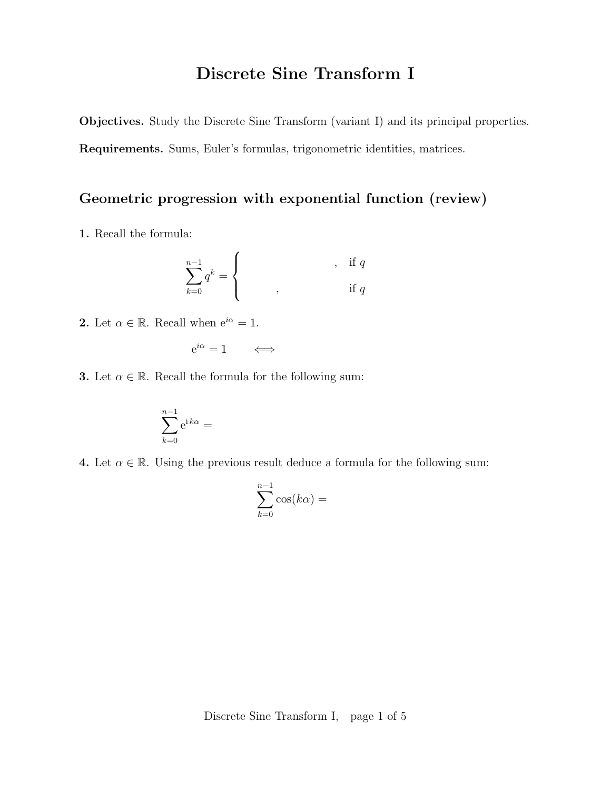# Discrete Sine Transform I

Objectives. Study the Discrete Sine Transform (variant I) and its principal properties.

Requirements. Sums, Euler's formulas, trigonometric identities, matrices.

## Geometric progression with exponential function (review)

1. Recall the formula:

$$
\sum_{k=0}^{n-1} q^k = \begin{cases} \cdot & \text{if } q \\ \cdot & \text{if } q \end{cases}
$$

**2.** Let  $\alpha \in \mathbb{R}$ . Recall when  $e^{i\alpha} = 1$ .

$$
e^{i\alpha} = 1 \qquad \Longleftrightarrow
$$

**3.** Let  $\alpha \in \mathbb{R}$ . Recall the formula for the following sum:

$$
\sum_{k=0}^{n-1} e^{ik\alpha} =
$$

4. Let  $\alpha \in \mathbb{R}$ . Using the previous result deduce a formula for the following sum:

$$
\sum_{k=0}^{n-1} \cos(k\alpha) =
$$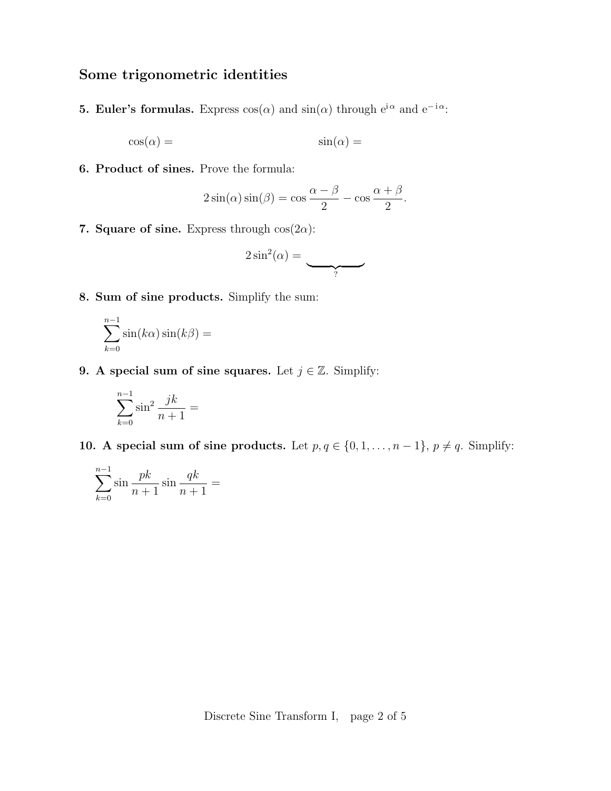## Some trigonometric identities

**5. Euler's formulas.** Express  $cos(\alpha)$  and  $sin(\alpha)$  through  $e^{i\alpha}$  and  $e^{-i\alpha}$ .

$$
\cos(\alpha) = \sin(\alpha) =
$$

6. Product of sines. Prove the formula:

$$
2\sin(\alpha)\sin(\beta) = \cos\frac{\alpha-\beta}{2} - \cos\frac{\alpha+\beta}{2}.
$$

7. Square of sine. Express through  $cos(2\alpha)$ :

$$
2\sin^2(\alpha) = \underbrace{\qquad \qquad }_{?}
$$

8. Sum of sine products. Simplify the sum:

$$
\sum_{k=0}^{n-1} \sin(k\alpha)\sin(k\beta) =
$$

9. A special sum of sine squares. Let  $j \in \mathbb{Z}$ . Simplify:

$$
\sum_{k=0}^{n-1} \sin^2 \frac{jk}{n+1} =
$$

10. A special sum of sine products. Let  $p, q \in \{0, 1, \ldots, n-1\}, p \neq q$ . Simplify:

$$
\sum_{k=0}^{n-1} \sin \frac{pk}{n+1} \sin \frac{qk}{n+1} =
$$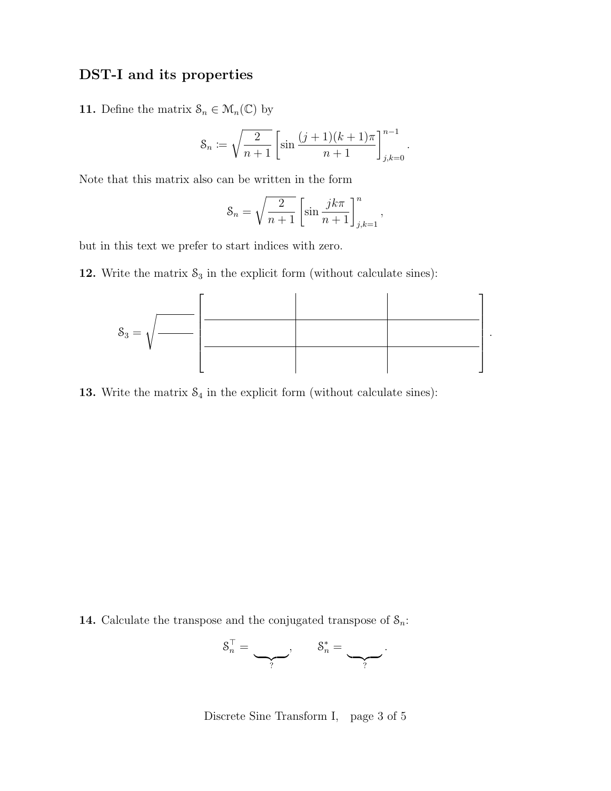#### DST-I and its properties

**11.** Define the matrix  $\mathcal{S}_n \in \mathcal{M}_n(\mathbb{C})$  by

$$
\mathcal{S}_n := \sqrt{\frac{2}{n+1}} \left[ \sin \frac{(j+1)(k+1)\pi}{n+1} \right]_{j,k=0}^{n-1}.
$$

Note that this matrix also can be written in the form

$$
\mathcal{S}_n = \sqrt{\frac{2}{n+1}} \left[ \sin \frac{jk\pi}{n+1} \right]_{j,k=1}^n,
$$

but in this text we prefer to start indices with zero.

12. Write the matrix  $S_3$  in the explicit form (without calculate sines):



13. Write the matrix  $S_4$  in the explicit form (without calculate sines):

**14.** Calculate the transpose and the conjugated transpose of  $S_n$ :

$$
\mathcal{S}_n^\top = \underbrace{\qquad \qquad}_{?}, \qquad \mathcal{S}_n^* = \underbrace{\qquad \qquad}_{?}.
$$

Discrete Sine Transform I, page 3 of 5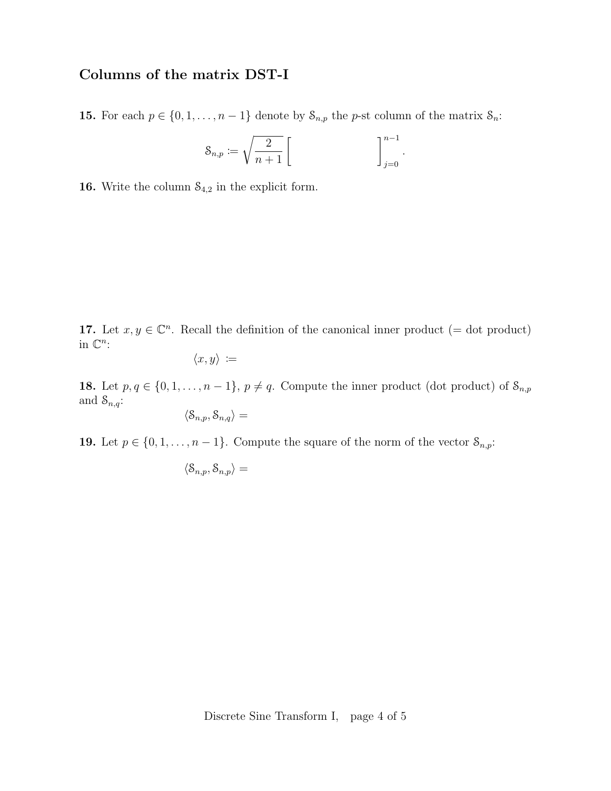# Columns of the matrix DST-I

**15.** For each  $p \in \{0, 1, \ldots, n-1\}$  denote by  $S_{n,p}$  the *p*-st column of the matrix  $S_n$ :

$$
\mathcal{S}_{n,p} := \sqrt{\frac{2}{n+1}} \left[ \qquad \qquad \right]_{j=0}^{n-1}.
$$

**16.** Write the column  $S_{4,2}$  in the explicit form.

17. Let  $x, y \in \mathbb{C}^n$ . Recall the definition of the canonical inner product (= dot product) in  $\mathbb{C}^n$ :

$$
\langle x,y\rangle\coloneqq
$$

18. Let  $p, q \in \{0, 1, \ldots, n-1\}, p \neq q$ . Compute the inner product (dot product) of  $S_{n,p}$ and  $S_{n,q}$ :

$$
\langle \mathcal{S}_{n,p}, \mathcal{S}_{n,q} \rangle =
$$

**19.** Let  $p \in \{0, 1, \ldots, n-1\}$ . Compute the square of the norm of the vector  $S_{n,p}$ :

$$
\langle \mathcal{S}_{n,p}, \mathcal{S}_{n,p} \rangle =
$$